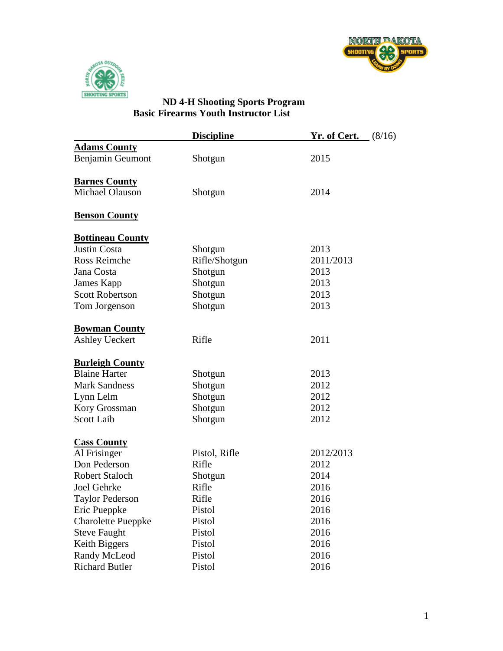



## **ND 4-H Shooting Sports Program Basic Firearms Youth Instructor List**

|                           | <b>Discipline</b> | <b>Yr. of Cert.</b> (8/16) |  |
|---------------------------|-------------------|----------------------------|--|
| <b>Adams County</b>       |                   |                            |  |
| Benjamin Geumont          | Shotgun           | 2015                       |  |
|                           |                   |                            |  |
| <b>Barnes County</b>      |                   |                            |  |
| Michael Olauson           | Shotgun           | 2014                       |  |
| <b>Benson County</b>      |                   |                            |  |
| <b>Bottineau County</b>   |                   |                            |  |
| <b>Justin Costa</b>       | Shotgun           | 2013                       |  |
| Ross Reimche              | Rifle/Shotgun     | 2011/2013                  |  |
| Jana Costa                | Shotgun           | 2013                       |  |
| James Kapp                | Shotgun           | 2013                       |  |
| <b>Scott Robertson</b>    | Shotgun           | 2013                       |  |
| Tom Jorgenson             | Shotgun           | 2013                       |  |
| <b>Bowman County</b>      |                   |                            |  |
| <b>Ashley Ueckert</b>     | Rifle             | 2011                       |  |
|                           |                   |                            |  |
| <b>Burleigh County</b>    |                   |                            |  |
| <b>Blaine Harter</b>      | Shotgun           | 2013                       |  |
| <b>Mark Sandness</b>      | Shotgun           | 2012                       |  |
| Lynn Lelm                 | Shotgun           | 2012                       |  |
| Kory Grossman             | Shotgun           | 2012                       |  |
| <b>Scott Laib</b>         | Shotgun           | 2012                       |  |
| <b>Cass County</b>        |                   |                            |  |
| Al Frisinger              | Pistol, Rifle     | 2012/2013                  |  |
| Don Pederson              | Rifle             | 2012                       |  |
| <b>Robert Staloch</b>     | Shotgun           | 2014                       |  |
| Joel Gehrke               | Rifle             | 2016                       |  |
| <b>Taylor Pederson</b>    | Rifle             | 2016                       |  |
| Eric Pueppke              | Pistol            | 2016                       |  |
| <b>Charolette Pueppke</b> | Pistol            | 2016                       |  |
| <b>Steve Faught</b>       | Pistol            | 2016                       |  |
| Keith Biggers             | Pistol            | 2016                       |  |
| Randy McLeod              | Pistol            | 2016                       |  |
| <b>Richard Butler</b>     | Pistol            | 2016                       |  |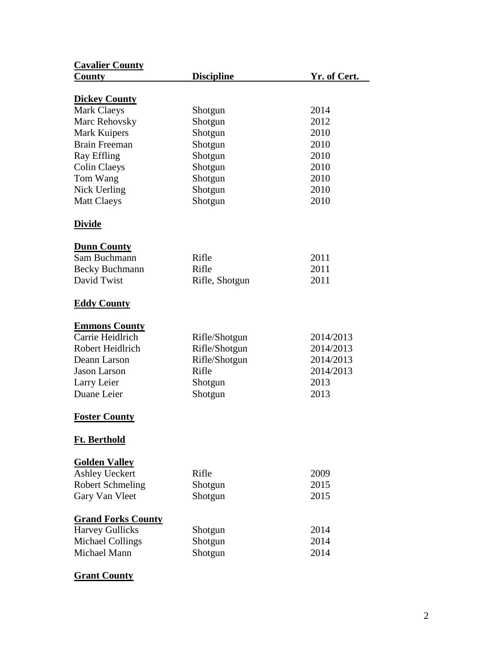| <b>Cavalier County</b>    |                   |              |
|---------------------------|-------------------|--------------|
| <b>County</b>             | <b>Discipline</b> | Yr. of Cert. |
|                           |                   |              |
| <b>Dickey County</b>      |                   |              |
| <b>Mark Claeys</b>        | Shotgun           | 2014         |
| Marc Rehovsky             | Shotgun           | 2012         |
| Mark Kuipers              | Shotgun           | 2010         |
| <b>Brain Freeman</b>      | Shotgun           | 2010         |
| Ray Effling               | Shotgun           | 2010         |
| <b>Colin Claeys</b>       | Shotgun           | 2010         |
| Tom Wang                  | Shotgun           | 2010         |
| Nick Uerling              | Shotgun           | 2010         |
| <b>Matt Claeys</b>        | Shotgun           | 2010         |
| <u>Divide</u>             |                   |              |
| <b>Dunn County</b>        |                   |              |
| Sam Buchmann              | Rifle             | 2011         |
| <b>Becky Buchmann</b>     | Rifle             | 2011         |
| David Twist               | Rifle, Shotgun    | 2011         |
|                           |                   |              |
| <b>Eddy County</b>        |                   |              |
| <b>Emmons County</b>      |                   |              |
| Carrie Heidlrich          | Rifle/Shotgun     | 2014/2013    |
| Robert Heidlrich          | Rifle/Shotgun     | 2014/2013    |
| Deann Larson              | Rifle/Shotgun     | 2014/2013    |
| <b>Jason Larson</b>       | Rifle             | 2014/2013    |
| Larry Leier               | Shotgun           | 2013         |
| Duane Leier               | Shotgun           | 2013         |
| <b>Foster County</b>      |                   |              |
| Ft. Berthold              |                   |              |
| <b>Golden Valley</b>      |                   |              |
| <b>Ashley Ueckert</b>     | Rifle             | 2009         |
| <b>Robert Schmeling</b>   | Shotgun           | 2015         |
| Gary Van Vleet            | Shotgun           | 2015         |
|                           |                   |              |
| <b>Grand Forks County</b> |                   |              |
| <b>Harvey Gullicks</b>    | Shotgun           | 2014         |
| <b>Michael Collings</b>   | Shotgun           | 2014         |
| Michael Mann              | Shotgun           | 2014         |
|                           |                   |              |

## **Grant County**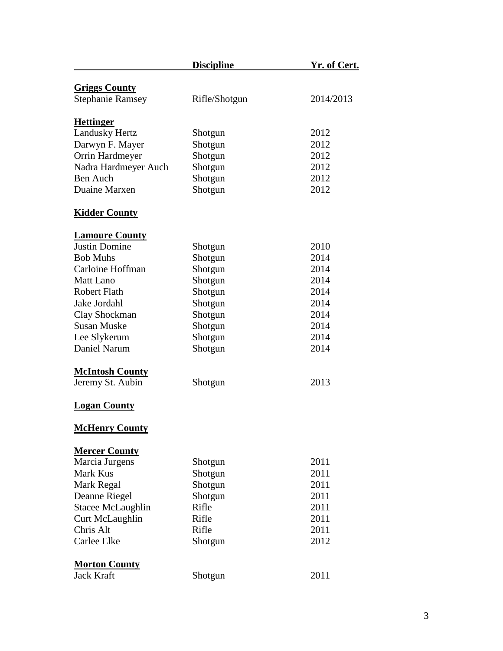|                         | <b>Discipline</b> | <u>Yr. of Cert.</u> |
|-------------------------|-------------------|---------------------|
| <b>Griggs County</b>    |                   |                     |
| <b>Stephanie Ramsey</b> | Rifle/Shotgun     | 2014/2013           |
| <b>Hettinger</b>        |                   |                     |
| <b>Landusky Hertz</b>   | Shotgun           | 2012                |
| Darwyn F. Mayer         | Shotgun           | 2012                |
| Orrin Hardmeyer         | Shotgun           | 2012                |
| Nadra Hardmeyer Auch    | Shotgun           | 2012                |
| <b>Ben Auch</b>         | Shotgun           | 2012                |
| Duaine Marxen           | Shotgun           | 2012                |
| <b>Kidder County</b>    |                   |                     |
| <b>Lamoure County</b>   |                   |                     |
| <b>Justin Domine</b>    | Shotgun           | 2010                |
| <b>Bob Muhs</b>         | Shotgun           | 2014                |
| Carloine Hoffman        | Shotgun           | 2014                |
| <b>Matt Lano</b>        | Shotgun           | 2014                |
| <b>Robert Flath</b>     | Shotgun           | 2014                |
| Jake Jordahl            | Shotgun           | 2014                |
| Clay Shockman           | Shotgun           | 2014                |
| <b>Susan Muske</b>      | Shotgun           | 2014                |
| Lee Slykerum            | Shotgun           | 2014                |
| Daniel Narum            | Shotgun           | 2014                |
| <b>McIntosh County</b>  |                   |                     |
| Jeremy St. Aubin        | Shotgun           | 2013                |
| <b>Logan County</b>     |                   |                     |
| <b>McHenry County</b>   |                   |                     |
| <b>Mercer County</b>    |                   |                     |
| Marcia Jurgens          | Shotgun           | 2011                |
| Mark Kus                | Shotgun           | 2011                |
| Mark Regal              | Shotgun           | 2011                |
| Deanne Riegel           | Shotgun           | 2011                |
| Stacee McLaughlin       | Rifle             | 2011                |
| Curt McLaughlin         | Rifle             | 2011                |
| Chris Alt               | Rifle             | 2011                |
| Carlee Elke             | Shotgun           | 2012                |
| <b>Morton County</b>    |                   |                     |
| <b>Jack Kraft</b>       | Shotgun           | 2011                |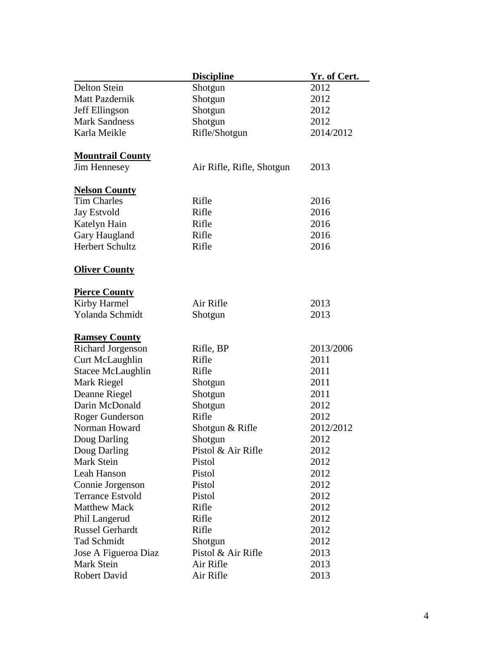|                         | <b>Discipline</b>         | Yr. of Cert. |
|-------------------------|---------------------------|--------------|
| Delton Stein            | Shotgun                   | 2012         |
| <b>Matt Pazdernik</b>   | Shotgun                   | 2012         |
| Jeff Ellingson          | Shotgun                   | 2012         |
| <b>Mark Sandness</b>    | Shotgun                   | 2012         |
| Karla Meikle            | Rifle/Shotgun             | 2014/2012    |
|                         |                           |              |
| <b>Mountrail County</b> |                           |              |
| Jim Hennesey            | Air Rifle, Rifle, Shotgun | 2013         |
| <b>Nelson County</b>    |                           |              |
| <b>Tim Charles</b>      | Rifle                     | 2016         |
| <b>Jay Estvold</b>      | Rifle                     | 2016         |
| Katelyn Hain            | Rifle                     | 2016         |
| Gary Haugland           | Rifle                     | 2016         |
| <b>Herbert Schultz</b>  | Rifle                     | 2016         |
| <b>Oliver County</b>    |                           |              |
| <b>Pierce County</b>    |                           |              |
| Kirby Harmel            | Air Rifle                 | 2013         |
| Yolanda Schmidt         | Shotgun                   | 2013         |
|                         |                           |              |
| <b>Ramsey County</b>    |                           |              |
| Richard Jorgenson       | Rifle, BP                 | 2013/2006    |
| Curt McLaughlin         | Rifle                     | 2011         |
| Stacee McLaughlin       | Rifle                     | 2011         |
| Mark Riegel             | Shotgun                   | 2011         |
| Deanne Riegel           | Shotgun                   | 2011         |
| Darin McDonald          | Shotgun                   | 2012         |
| Roger Gunderson         | Rifle                     | 2012         |
| Norman Howard           | Shotgun & Rifle           | 2012/2012    |
| Doug Darling            | Shotgun                   | 2012         |
| Doug Darling            | Pistol & Air Rifle        | 2012         |
| Mark Stein              | Pistol                    | 2012         |
| Leah Hanson             | Pistol                    | 2012         |
| Connie Jorgenson        | Pistol                    | 2012         |
| <b>Terrance Estvold</b> | Pistol                    | 2012         |
| <b>Matthew Mack</b>     | Rifle                     | 2012         |
| Phil Langerud           | Rifle                     | 2012         |
| <b>Russel Gerhardt</b>  | Rifle                     | 2012         |
| <b>Tad Schmidt</b>      | Shotgun                   | 2012         |
| Jose A Figueroa Diaz    | Pistol & Air Rifle        | 2013         |
| Mark Stein              | Air Rifle                 | 2013         |
| Robert David            | Air Rifle                 | 2013         |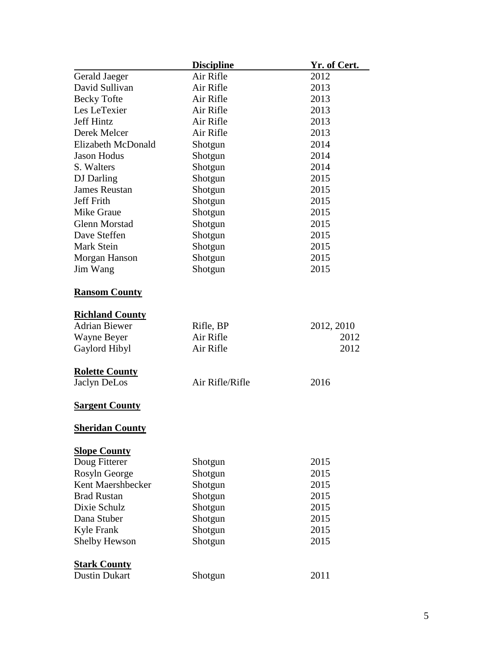|                        | <b>Discipline</b> | <u>Yr. of Cert.</u> |
|------------------------|-------------------|---------------------|
| Gerald Jaeger          | Air Rifle         | 2012                |
| David Sullivan         | Air Rifle         | 2013                |
| <b>Becky Tofte</b>     | Air Rifle         | 2013                |
| Les LeTexier           | Air Rifle         | 2013                |
| <b>Jeff Hintz</b>      | Air Rifle         | 2013                |
| Derek Melcer           | Air Rifle         | 2013                |
| Elizabeth McDonald     | Shotgun           | 2014                |
| <b>Jason Hodus</b>     | Shotgun           | 2014                |
| S. Walters             | Shotgun           | 2014                |
| DJ Darling             | Shotgun           | 2015                |
| <b>James Reustan</b>   | Shotgun           | 2015                |
| <b>Jeff Frith</b>      | Shotgun           | 2015                |
| <b>Mike Graue</b>      | Shotgun           | 2015                |
| <b>Glenn Morstad</b>   | Shotgun           | 2015                |
| Dave Steffen           | Shotgun           | 2015                |
| <b>Mark Stein</b>      | Shotgun           | 2015                |
| Morgan Hanson          | Shotgun           | 2015                |
| Jim Wang               | Shotgun           | 2015                |
|                        |                   |                     |
| <b>Ransom County</b>   |                   |                     |
|                        |                   |                     |
| <b>Richland County</b> |                   |                     |
| <b>Adrian Biewer</b>   | Rifle, BP         | 2012, 2010          |
| Wayne Beyer            | Air Rifle         | 2012                |
| Gaylord Hibyl          | Air Rifle         | 2012                |
|                        |                   |                     |
| <b>Rolette County</b>  |                   |                     |
| Jaclyn DeLos           | Air Rifle/Rifle   | 2016                |
|                        |                   |                     |
| <b>Sargent County</b>  |                   |                     |
|                        |                   |                     |
| <b>Sheridan County</b> |                   |                     |
|                        |                   |                     |
| <b>Slope County</b>    |                   |                     |
| Doug Fitterer          | Shotgun           | 2015                |
| Rosyln George          | Shotgun           | 2015                |
| Kent Maershbecker      | Shotgun           | 2015                |
| <b>Brad Rustan</b>     | Shotgun           | 2015                |
| Dixie Schulz           | Shotgun           | 2015                |
| Dana Stuber            | Shotgun           | 2015                |
| Kyle Frank             | Shotgun           | 2015                |
| Shelby Hewson          | Shotgun           | 2015                |
|                        |                   |                     |
| <b>Stark County</b>    |                   |                     |
| <b>Dustin Dukart</b>   | Shotgun           | 2011                |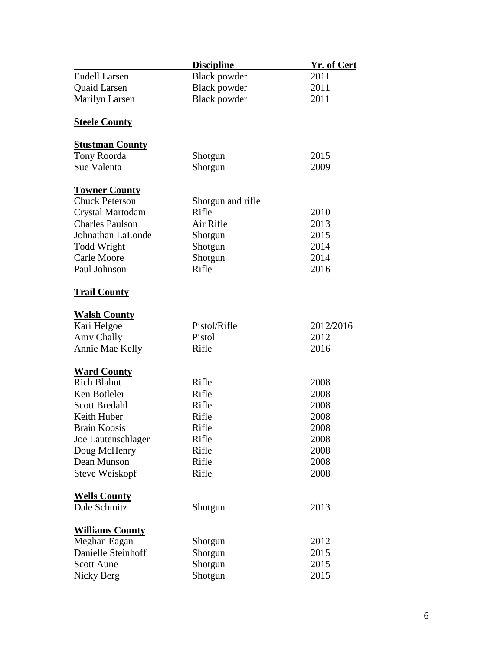|                        | <b>Discipline</b>   | <u>Yr. of Cert</u> |
|------------------------|---------------------|--------------------|
| <b>Eudell Larsen</b>   | <b>Black powder</b> | 2011               |
| Quaid Larsen           | <b>Black powder</b> | 2011               |
| Marilyn Larsen         | Black powder        | 2011               |
|                        |                     |                    |
| <b>Steele County</b>   |                     |                    |
| <b>Stustman County</b> |                     |                    |
| Tony Roorda            | Shotgun             | 2015               |
| Sue Valenta            | Shotgun             | 2009               |
| <b>Towner County</b>   |                     |                    |
| <b>Chuck Peterson</b>  | Shotgun and rifle   |                    |
| Crystal Martodam       | Rifle               | 2010               |
| <b>Charles Paulson</b> | Air Rifle           | 2013               |
| Johnathan LaLonde      | Shotgun             | 2015               |
| <b>Todd Wright</b>     | Shotgun             | 2014               |
| Carle Moore            | Shotgun             | 2014               |
| Paul Johnson           | Rifle               | 2016               |
|                        |                     |                    |
| <b>Trail County</b>    |                     |                    |
| <b>Walsh County</b>    |                     |                    |
| Kari Helgoe            | Pistol/Rifle        | 2012/2016          |
| Amy Chally             | Pistol              | 2012               |
| Annie Mae Kelly        | Rifle               | 2016               |
| <b>Ward County</b>     |                     |                    |
| <b>Rich Blahut</b>     | Rifle               | 2008               |
| Ken Botleler           | Rifle               | 2008               |
| <b>Scott Bredahl</b>   | Rifle               | 2008               |
| Keith Huber            | Rifle               | 2008               |
| <b>Brain Koosis</b>    | Rifle               | 2008               |
| Joe Lautenschlager     | Rifle               | 2008               |
| Doug McHenry           | Rifle               | 2008               |
| Dean Munson            | Rifle               | 2008               |
| <b>Steve Weiskopf</b>  | Rifle               | 2008               |
|                        |                     |                    |
| <b>Wells County</b>    |                     |                    |
| Dale Schmitz           | Shotgun             | 2013               |
| <b>Williams County</b> |                     |                    |
| Meghan Eagan           | Shotgun             | 2012               |
| Danielle Steinhoff     | Shotgun             | 2015               |
| <b>Scott Aune</b>      | Shotgun             | 2015               |
| Nicky Berg             | Shotgun             | 2015               |